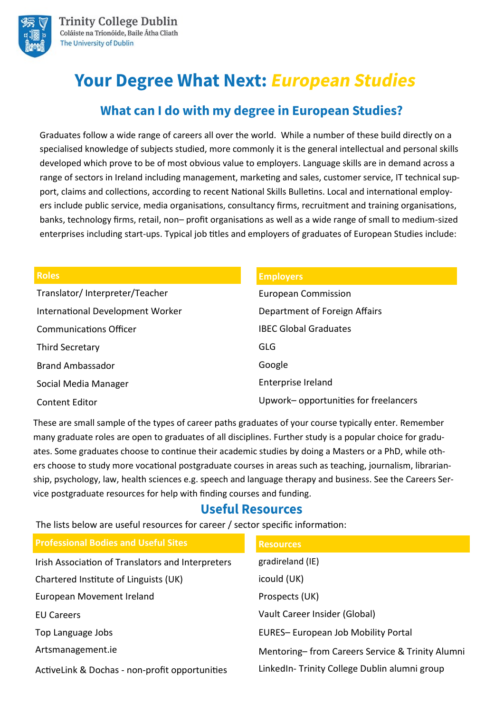

# **Your Degree What Next: European Studies**

## **What can I do with my degree in European Studies?**

Graduates follow a wide range of careers all over the world. While a number of these build directly on a specialised knowledge of subjects studied, more commonly it is the general intellectual and personal skills developed which prove to be of most obvious value to employers. Language skills are in demand across a range of sectors in Ireland including management, marketing and sales, customer service, IT technical support, claims and collections, according to recent National Skills Bulletins. Local and international employers include public service, media organisations, consultancy firms, recruitment and training organisations, banks, technology firms, retail, non– profit organisations as well as a wide range of small to medium-sized enterprises including start-ups. Typical job titles and employers of graduates of European Studies include:

| <b>Roles</b>                     | <b>Employers</b>                     |
|----------------------------------|--------------------------------------|
| Translator/Interpreter/Teacher   | <b>European Commission</b>           |
| International Development Worker | Department of Foreign Affairs        |
| <b>Communications Officer</b>    | <b>IBEC Global Graduates</b>         |
| Third Secretary                  | <b>GLG</b>                           |
| <b>Brand Ambassador</b>          | Google                               |
| Social Media Manager             | Enterprise Ireland                   |
| <b>Content Editor</b>            | Upwork-opportunities for freelancers |

These are small sample of the types of career paths graduates of your course typically enter. Remember many graduate roles are open to graduates of all disciplines. Further study is a popular choice for graduates. Some graduates choose to continue their academic studies by doing a Masters or a PhD, while others choose to study more vocational postgraduate courses in areas such as teaching, journalism, librarianship, psychology, law, health sciences e.g. speech and language therapy and business. See the Careers Service postgraduate resources for help with finding courses and funding.

### **Useful Resources**

The lists below are useful resources for career / sector specific information:

| <b>Professional Bodies and Useful Sites</b>       | <b>Resources</b>                                |
|---------------------------------------------------|-------------------------------------------------|
| Irish Association of Translators and Interpreters | gradireland (IE)                                |
| Chartered Institute of Linguists (UK)             | icould (UK)                                     |
| European Movement Ireland                         | Prospects (UK)                                  |
| <b>EU Careers</b>                                 | Vault Career Insider (Global)                   |
| Top Language Jobs                                 | EURES-European Job Mobility Portal              |
| Artsmanagement.ie                                 | Mentoring-from Careers Service & Trinity Alumni |
| ActiveLink & Dochas - non-profit opportunities    | Linked In-Trinity College Dublin alumni group   |